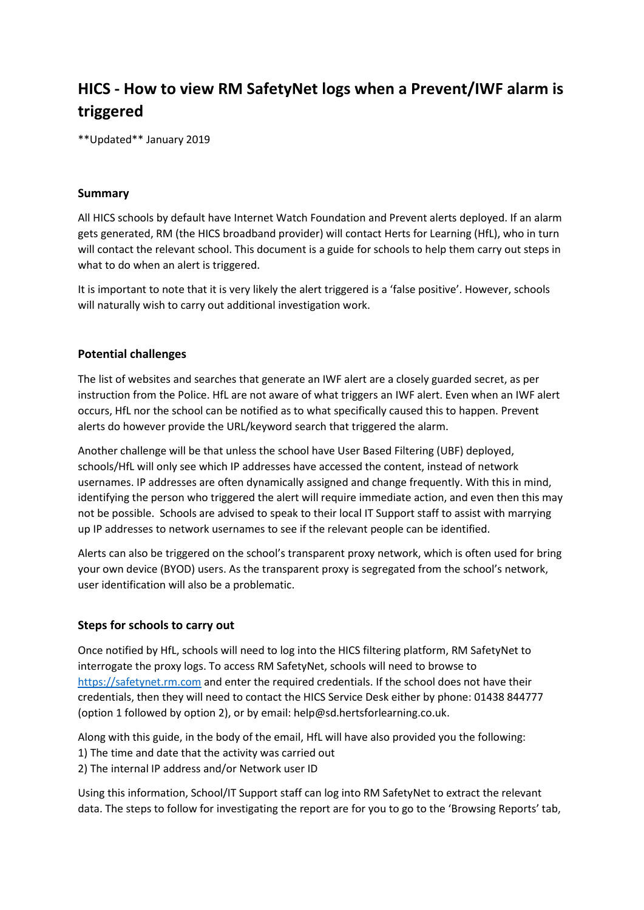# **HICS - How to view RM SafetyNet logs when a Prevent/IWF alarm is triggered**

\*\*Updated\*\* January 2019

## **Summary**

All HICS schools by default have Internet Watch Foundation and Prevent alerts deployed. If an alarm gets generated, RM (the HICS broadband provider) will contact Herts for Learning (HfL), who in turn will contact the relevant school. This document is a guide for schools to help them carry out steps in what to do when an alert is triggered.

It is important to note that it is very likely the alert triggered is a 'false positive'. However, schools will naturally wish to carry out additional investigation work.

# **Potential challenges**

The list of websites and searches that generate an IWF alert are a closely guarded secret, as per instruction from the Police. HfL are not aware of what triggers an IWF alert. Even when an IWF alert occurs, HfL nor the school can be notified as to what specifically caused this to happen. Prevent alerts do however provide the URL/keyword search that triggered the alarm.

Another challenge will be that unless the school have User Based Filtering (UBF) deployed, schools/HfL will only see which IP addresses have accessed the content, instead of network usernames. IP addresses are often dynamically assigned and change frequently. With this in mind, identifying the person who triggered the alert will require immediate action, and even then this may not be possible. Schools are advised to speak to their local IT Support staff to assist with marrying up IP addresses to network usernames to see if the relevant people can be identified.

Alerts can also be triggered on the school's transparent proxy network, which is often used for bring your own device (BYOD) users. As the transparent proxy is segregated from the school's network, user identification will also be a problematic.

#### **Steps for schools to carry out**

Once notified by HfL, schools will need to log into the HICS filtering platform, RM SafetyNet to interrogate the proxy logs. To access RM SafetyNet, schools will need to browse to [https://safetynet.rm.com](https://safetynet.rm.com/) and enter the required credentials. If the school does not have their credentials, then they will need to contact the HICS Service Desk either by phone: 01438 844777 (option 1 followed by option 2), or by email[: help@sd.hertsforlearning.co.uk.](mailto:help@sd.hertsforlearning.co.uk)

Along with this guide, in the body of the email, HfL will have also provided you the following: 1) The time and date that the activity was carried out

2) The internal IP address and/or Network user ID

Using this information, School/IT Support staff can log into RM SafetyNet to extract the relevant data. The steps to follow for investigating the report are for you to go to the 'Browsing Reports' tab,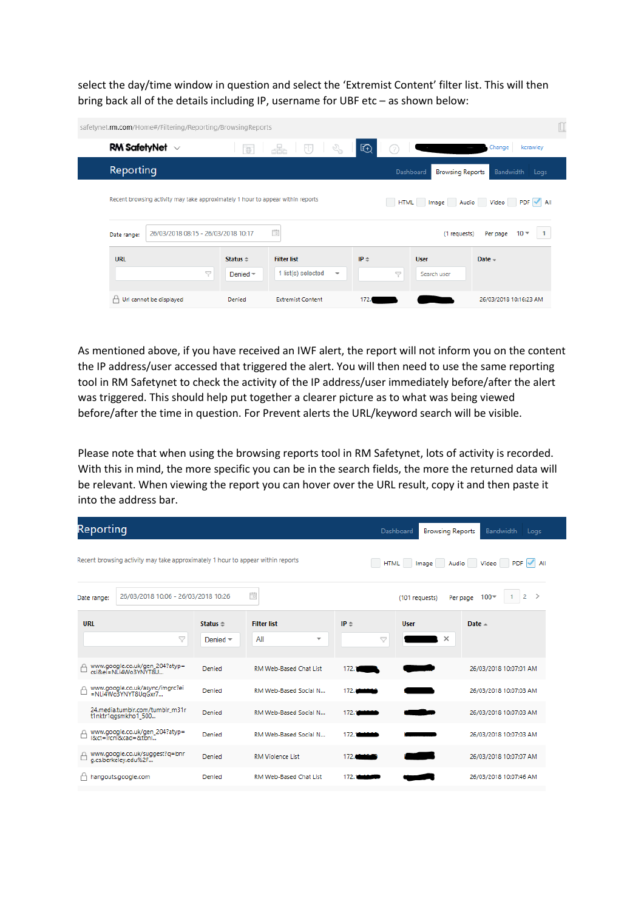select the day/time window in question and select the 'Extremist Content' filter list. This will then bring back all of the details including IP, username for UBF etc – as shown below:

| safetynet.rm.com/Home#/Filtering/Reporting/BrowsingReports                      |                                     |                                                                              |                                                                  |                            |                            |
|---------------------------------------------------------------------------------|-------------------------------------|------------------------------------------------------------------------------|------------------------------------------------------------------|----------------------------|----------------------------|
| RM Safety Net $\sim$                                                            | $\overline{\oplus}$                 | <u>을</u><br>$\mathbb{S}^3$<br>$\begin{bmatrix} 1 & 1 \\ 1 & 1 \end{bmatrix}$ | 田<br>(?                                                          |                            | Change<br>kcrawley         |
| Reporting                                                                       |                                     |                                                                              | Dashboard<br><b>Browsing Reports</b><br><b>Bandwidth</b><br>Logs |                            |                            |
| Recent browsing activity may take approximately 1 hour to appear within reports |                                     |                                                                              |                                                                  |                            | HTML Image Audio Video PDF |
| 26/03/2018 08:15 - 26/03/2018 10:17<br>Date range:                              |                                     | 茴                                                                            |                                                                  | (1 requests)               | $10 -$<br>1<br>Per page    |
| <b>URL</b><br>7                                                                 | Status $\approx$<br>Denied $\equiv$ | <b>Filter list</b><br>1 list(s) selected<br>$\overline{\phantom{a}}$         | $IP =$<br>7                                                      | <b>User</b><br>Search user | $Date -$                   |
| Url cannot be displayed                                                         | Denied                              | <b>Extremist Content</b>                                                     | 172.                                                             |                            | 26/03/2018 10:16:23 AM     |

As mentioned above, if you have received an IWF alert, the report will not inform you on the content the IP address/user accessed that triggered the alert. You will then need to use the same reporting tool in RM Safetynet to check the activity of the IP address/user immediately before/after the alert was triggered. This should help put together a clearer picture as to what was being viewed before/after the time in question. For Prevent alerts the URL/keyword search will be visible.

Please note that when using the browsing reports tool in RM Safetynet, lots of activity is recorded. With this in mind, the more specific you can be in the search fields, the more the returned data will be relevant. When viewing the report you can hover over the URL result, copy it and then paste it into the address bar.

| Reporting   |                                                                                 |                    |                                 |                      | Dashboard<br><b>Browsing Reports</b> | Bandwidth<br>Logs                         |
|-------------|---------------------------------------------------------------------------------|--------------------|---------------------------------|----------------------|--------------------------------------|-------------------------------------------|
|             | Recent browsing activity may take approximately 1 hour to appear within reports |                    |                                 |                      | HTML Image Audio Video               | $PDF$ $\sim$ All                          |
| Date range: | 26/03/2018 10:06 - 26/03/2018 10:26                                             |                    | 苘                               |                      | (101 requests)                       | $\rightarrow$<br>2<br>$100 -$<br>Per page |
| <b>URL</b>  |                                                                                 | Status $\triangle$ | <b>Filter list</b>              | $IP =$               | <b>User</b>                          | Date $-$                                  |
|             | 7                                                                               | Denied $\equiv$    | All<br>$\overline{\phantom{a}}$ | 7                    | $\times$                             |                                           |
|             | www.google.co.uk/gen_204?atyp=<br>csi&ei = NLi4Wo3YNYT8U                        | Denied             | RM Web-Based Chat List          | 172.7                |                                      | 26/03/2018 10:07:01 AM                    |
|             | www.google.co.uk/async/imgrc?ei<br>=NLi4Wo3YNYT8UgGxr7                          | Denied             | RM Web-Based Social N           | 172.1                |                                      | 26/03/2018 10:07:03 AM                    |
|             | 24.media.tumblr.com/tumblr_m31r<br>t1nktr1qgsmkho1_500                          | Denied             | RM Web-Based Social N           | 172.1<br><b>STAR</b> |                                      | 26/03/2018 10:07:03 AM                    |
|             | www.google.co.uk/gen_204?atyp=<br>i&ct=ircni&cad=&tbni                          | Denied             | RM Web-Based Social N           | 172.1                |                                      | 26/03/2018 10:07:03 AM                    |
|             | www.google.co.uk/suggest?q=bnr<br>g.cs.berkeley.edu%2F                          | Denied             | <b>RM Violence List</b>         | 172.                 |                                      | 26/03/2018 10:07:07 AM                    |
|             | hangouts.google.com                                                             | Denied             | RM Web-Based Chat List          | 172.7                |                                      | 26/03/2018 10:07:46 AM                    |